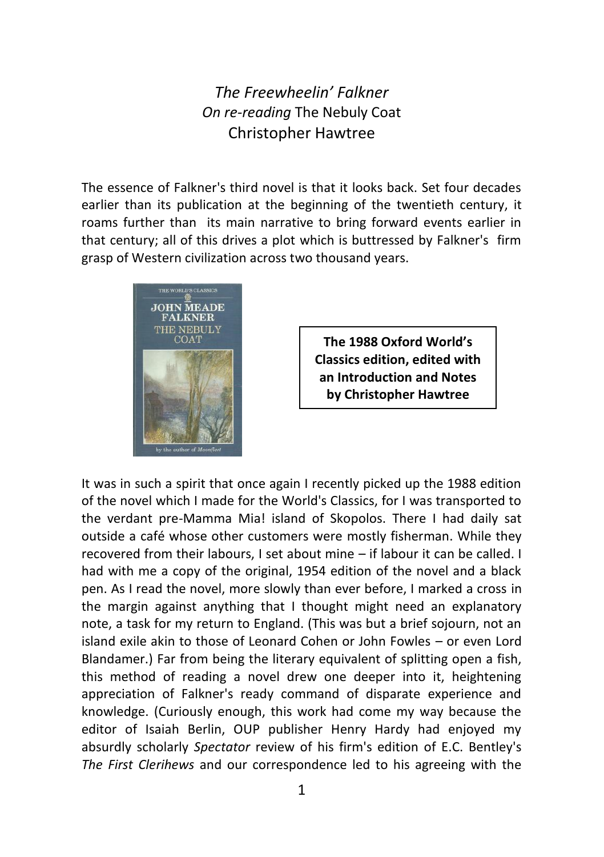## *The Freewheelin' Falkner On re-reading* The Nebuly Coat Christopher Hawtree

The essence of Falkner's third novel is that it looks back. Set four decades earlier than its publication at the beginning of the twentieth century, it roams further than its main narrative to bring forward events earlier in that century; all of this drives a plot which is buttressed by Falkner's firm grasp of Western civilization across two thousand years.



**The 1988 Oxford World's Classics edition, edited with an Introduction and Notes by Christopher Hawtree**

It was in such a spirit that once again I recently picked up the 1988 edition of the novel which I made for the World's Classics, for I was transported to the verdant pre-Mamma Mia! island of Skopolos. There I had daily sat outside a café whose other customers were mostly fisherman. While they recovered from their labours, I set about mine – if labour it can be called. I had with me a copy of the original, 1954 edition of the novel and a black pen. As I read the novel, more slowly than ever before, I marked a cross in the margin against anything that I thought might need an explanatory note, a task for my return to England. (This was but a brief sojourn, not an island exile akin to those of Leonard Cohen or John Fowles – or even Lord Blandamer.) Far from being the literary equivalent of splitting open a fish, this method of reading a novel drew one deeper into it, heightening appreciation of Falkner's ready command of disparate experience and knowledge. (Curiously enough, this work had come my way because the editor of Isaiah Berlin, OUP publisher Henry Hardy had enjoyed my absurdly scholarly *Spectator* review of his firm's edition of E.C. Bentley's *The First Clerihews* and our correspondence led to his agreeing with the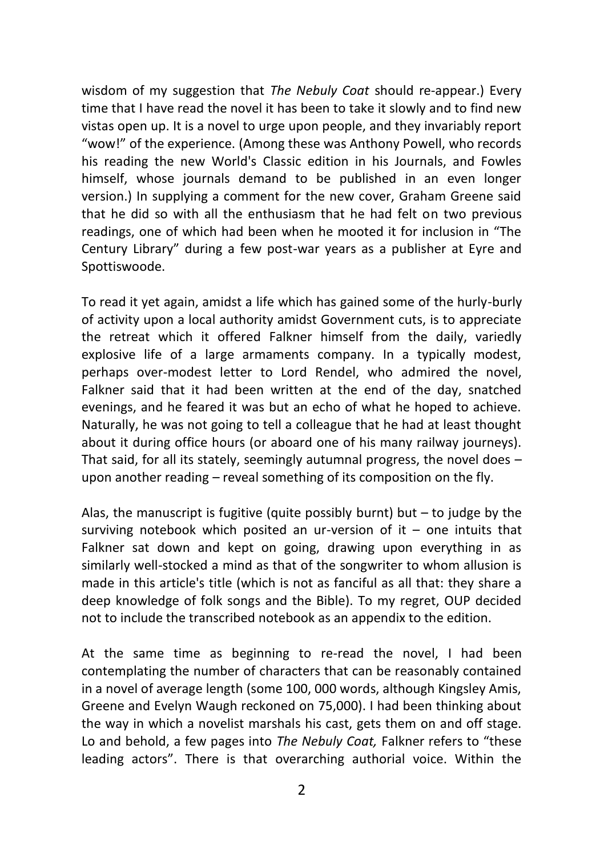wisdom of my suggestion that *The Nebuly Coat* should re-appear.) Every time that I have read the novel it has been to take it slowly and to find new vistas open up. It is a novel to urge upon people, and they invariably report "wow!" of the experience. (Among these was Anthony Powell, who records his reading the new World's Classic edition in his Journals, and Fowles himself, whose journals demand to be published in an even longer version.) In supplying a comment for the new cover, Graham Greene said that he did so with all the enthusiasm that he had felt on two previous readings, one of which had been when he mooted it for inclusion in "The Century Library" during a few post-war years as a publisher at Eyre and Spottiswoode.

To read it yet again, amidst a life which has gained some of the hurly-burly of activity upon a local authority amidst Government cuts, is to appreciate the retreat which it offered Falkner himself from the daily, variedly explosive life of a large armaments company. In a typically modest, perhaps over-modest letter to Lord Rendel, who admired the novel, Falkner said that it had been written at the end of the day, snatched evenings, and he feared it was but an echo of what he hoped to achieve. Naturally, he was not going to tell a colleague that he had at least thought about it during office hours (or aboard one of his many railway journeys). That said, for all its stately, seemingly autumnal progress, the novel does – upon another reading – reveal something of its composition on the fly.

Alas, the manuscript is fugitive (quite possibly burnt) but  $-$  to judge by the surviving notebook which posited an ur-version of it – one intuits that Falkner sat down and kept on going, drawing upon everything in as similarly well-stocked a mind as that of the songwriter to whom allusion is made in this article's title (which is not as fanciful as all that: they share a deep knowledge of folk songs and the Bible). To my regret, OUP decided not to include the transcribed notebook as an appendix to the edition.

At the same time as beginning to re-read the novel, I had been contemplating the number of characters that can be reasonably contained in a novel of average length (some 100, 000 words, although Kingsley Amis, Greene and Evelyn Waugh reckoned on 75,000). I had been thinking about the way in which a novelist marshals his cast, gets them on and off stage. Lo and behold, a few pages into *The Nebuly Coat,* Falkner refers to "these leading actors". There is that overarching authorial voice. Within the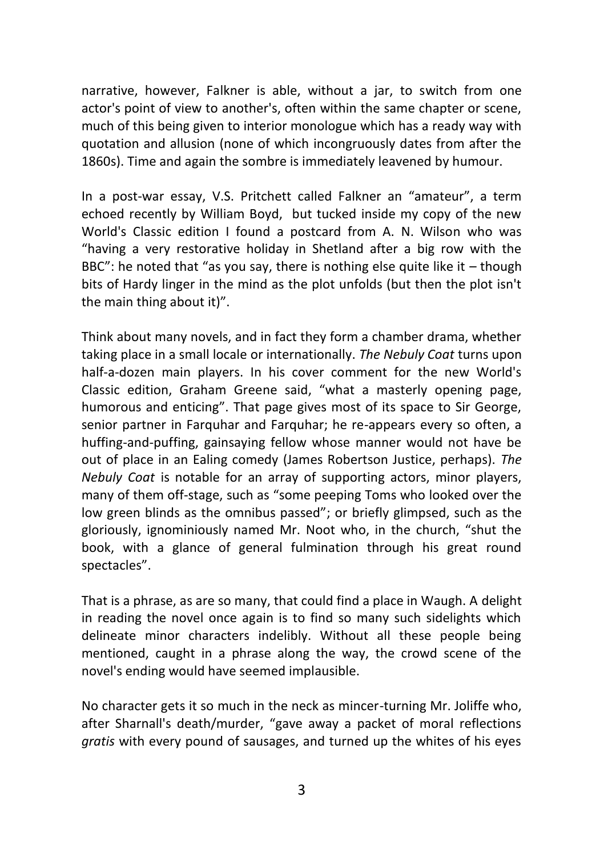narrative, however, Falkner is able, without a jar, to switch from one actor's point of view to another's, often within the same chapter or scene, much of this being given to interior monologue which has a ready way with quotation and allusion (none of which incongruously dates from after the 1860s). Time and again the sombre is immediately leavened by humour.

In a post-war essay, V.S. Pritchett called Falkner an "amateur", a term echoed recently by William Boyd, but tucked inside my copy of the new World's Classic edition I found a postcard from A. N. Wilson who was "having a very restorative holiday in Shetland after a big row with the BBC": he noted that "as you say, there is nothing else quite like it  $-$  though bits of Hardy linger in the mind as the plot unfolds (but then the plot isn't the main thing about it)".

Think about many novels, and in fact they form a chamber drama, whether taking place in a small locale or internationally. *The Nebuly Coat* turns upon half-a-dozen main players. In his cover comment for the new World's Classic edition, Graham Greene said, "what a masterly opening page, humorous and enticing". That page gives most of its space to Sir George, senior partner in Farquhar and Farquhar; he re-appears every so often, a huffing-and-puffing, gainsaying fellow whose manner would not have be out of place in an Ealing comedy (James Robertson Justice, perhaps). *The Nebuly Coat* is notable for an array of supporting actors, minor players, many of them off-stage, such as "some peeping Toms who looked over the low green blinds as the omnibus passed"; or briefly glimpsed, such as the gloriously, ignominiously named Mr. Noot who, in the church, "shut the book, with a glance of general fulmination through his great round spectacles".

That is a phrase, as are so many, that could find a place in Waugh. A delight in reading the novel once again is to find so many such sidelights which delineate minor characters indelibly. Without all these people being mentioned, caught in a phrase along the way, the crowd scene of the novel's ending would have seemed implausible.

No character gets it so much in the neck as mincer-turning Mr. Joliffe who, after Sharnall's death/murder, "gave away a packet of moral reflections *gratis* with every pound of sausages, and turned up the whites of his eyes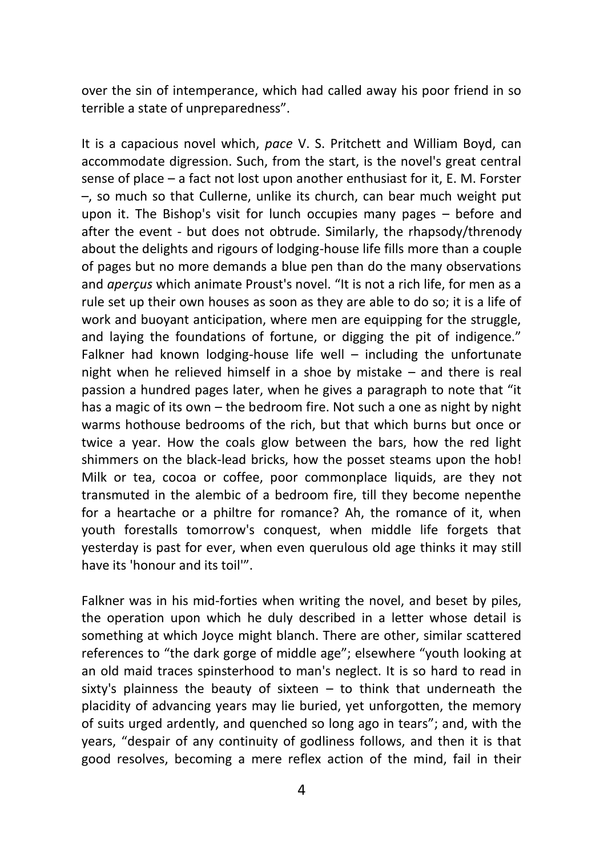over the sin of intemperance, which had called away his poor friend in so terrible a state of unpreparedness".

It is a capacious novel which, *pace* V. S. Pritchett and William Boyd, can accommodate digression. Such, from the start, is the novel's great central sense of place – a fact not lost upon another enthusiast for it, E. M. Forster –, so much so that Cullerne, unlike its church, can bear much weight put upon it. The Bishop's visit for lunch occupies many pages – before and after the event - but does not obtrude. Similarly, the rhapsody/threnody about the delights and rigours of lodging-house life fills more than a couple of pages but no more demands a blue pen than do the many observations and *aperçus* which animate Proust's novel. "It is not a rich life, for men as a rule set up their own houses as soon as they are able to do so; it is a life of work and buoyant anticipation, where men are equipping for the struggle, and laying the foundations of fortune, or digging the pit of indigence." Falkner had known lodging-house life well – including the unfortunate night when he relieved himself in a shoe by mistake – and there is real passion a hundred pages later, when he gives a paragraph to note that "it has a magic of its own – the bedroom fire. Not such a one as night by night warms hothouse bedrooms of the rich, but that which burns but once or twice a year. How the coals glow between the bars, how the red light shimmers on the black-lead bricks, how the posset steams upon the hob! Milk or tea, cocoa or coffee, poor commonplace liquids, are they not transmuted in the alembic of a bedroom fire, till they become nepenthe for a heartache or a philtre for romance? Ah, the romance of it, when youth forestalls tomorrow's conquest, when middle life forgets that yesterday is past for ever, when even querulous old age thinks it may still have its 'honour and its toil'".

Falkner was in his mid-forties when writing the novel, and beset by piles, the operation upon which he duly described in a letter whose detail is something at which Joyce might blanch. There are other, similar scattered references to "the dark gorge of middle age"; elsewhere "youth looking at an old maid traces spinsterhood to man's neglect. It is so hard to read in sixty's plainness the beauty of sixteen – to think that underneath the placidity of advancing years may lie buried, yet unforgotten, the memory of suits urged ardently, and quenched so long ago in tears"; and, with the years, "despair of any continuity of godliness follows, and then it is that good resolves, becoming a mere reflex action of the mind, fail in their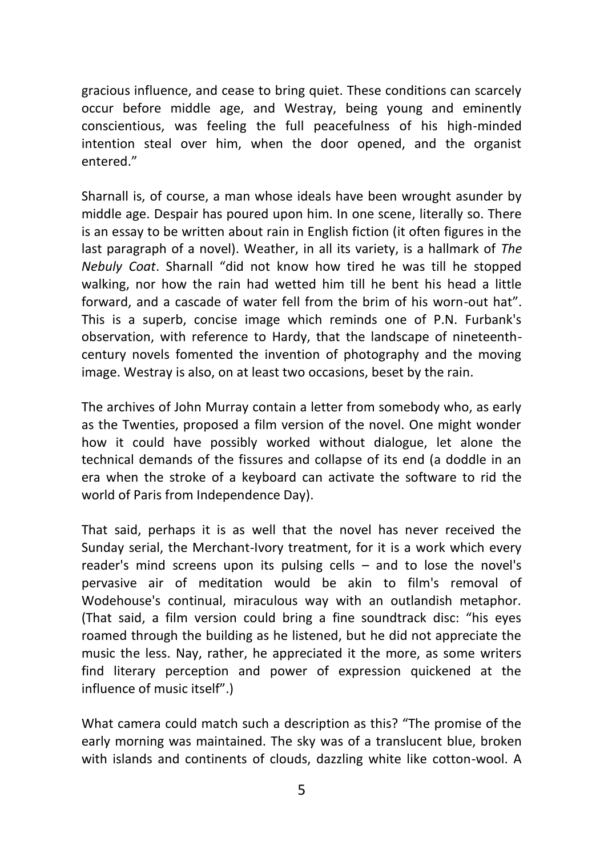gracious influence, and cease to bring quiet. These conditions can scarcely occur before middle age, and Westray, being young and eminently conscientious, was feeling the full peacefulness of his high-minded intention steal over him, when the door opened, and the organist entered."

Sharnall is, of course, a man whose ideals have been wrought asunder by middle age. Despair has poured upon him. In one scene, literally so. There is an essay to be written about rain in English fiction (it often figures in the last paragraph of a novel). Weather, in all its variety, is a hallmark of *The Nebuly Coat*. Sharnall "did not know how tired he was till he stopped walking, nor how the rain had wetted him till he bent his head a little forward, and a cascade of water fell from the brim of his worn-out hat". This is a superb, concise image which reminds one of P.N. Furbank's observation, with reference to Hardy, that the landscape of nineteenthcentury novels fomented the invention of photography and the moving image. Westray is also, on at least two occasions, beset by the rain.

The archives of John Murray contain a letter from somebody who, as early as the Twenties, proposed a film version of the novel. One might wonder how it could have possibly worked without dialogue, let alone the technical demands of the fissures and collapse of its end (a doddle in an era when the stroke of a keyboard can activate the software to rid the world of Paris from Independence Day).

That said, perhaps it is as well that the novel has never received the Sunday serial, the Merchant-Ivory treatment, for it is a work which every reader's mind screens upon its pulsing cells – and to lose the novel's pervasive air of meditation would be akin to film's removal of Wodehouse's continual, miraculous way with an outlandish metaphor. (That said, a film version could bring a fine soundtrack disc: "his eyes roamed through the building as he listened, but he did not appreciate the music the less. Nay, rather, he appreciated it the more, as some writers find literary perception and power of expression quickened at the influence of music itself".)

What camera could match such a description as this? "The promise of the early morning was maintained. The sky was of a translucent blue, broken with islands and continents of clouds, dazzling white like cotton-wool. A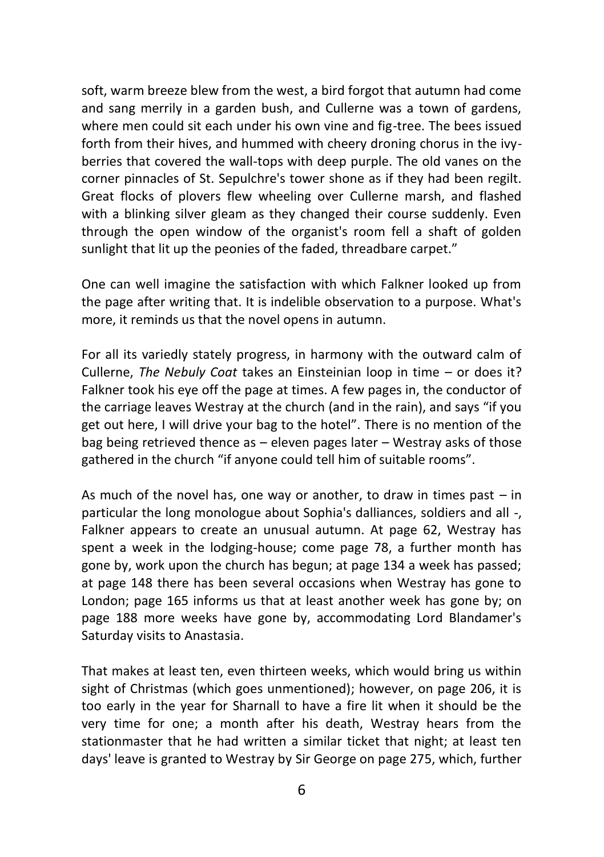soft, warm breeze blew from the west, a bird forgot that autumn had come and sang merrily in a garden bush, and Cullerne was a town of gardens, where men could sit each under his own vine and fig-tree. The bees issued forth from their hives, and hummed with cheery droning chorus in the ivyberries that covered the wall-tops with deep purple. The old vanes on the corner pinnacles of St. Sepulchre's tower shone as if they had been regilt. Great flocks of plovers flew wheeling over Cullerne marsh, and flashed with a blinking silver gleam as they changed their course suddenly. Even through the open window of the organist's room fell a shaft of golden sunlight that lit up the peonies of the faded, threadbare carpet."

One can well imagine the satisfaction with which Falkner looked up from the page after writing that. It is indelible observation to a purpose. What's more, it reminds us that the novel opens in autumn.

For all its variedly stately progress, in harmony with the outward calm of Cullerne, *The Nebuly Coat* takes an Einsteinian loop in time – or does it? Falkner took his eye off the page at times. A few pages in, the conductor of the carriage leaves Westray at the church (and in the rain), and says "if you get out here, I will drive your bag to the hotel". There is no mention of the bag being retrieved thence as – eleven pages later – Westray asks of those gathered in the church "if anyone could tell him of suitable rooms".

As much of the novel has, one way or another, to draw in times past  $-$  in particular the long monologue about Sophia's dalliances, soldiers and all -, Falkner appears to create an unusual autumn. At page 62, Westray has spent a week in the lodging-house; come page 78, a further month has gone by, work upon the church has begun; at page 134 a week has passed; at page 148 there has been several occasions when Westray has gone to London; page 165 informs us that at least another week has gone by; on page 188 more weeks have gone by, accommodating Lord Blandamer's Saturday visits to Anastasia.

That makes at least ten, even thirteen weeks, which would bring us within sight of Christmas (which goes unmentioned); however, on page 206, it is too early in the year for Sharnall to have a fire lit when it should be the very time for one; a month after his death, Westray hears from the stationmaster that he had written a similar ticket that night; at least ten days' leave is granted to Westray by Sir George on page 275, which, further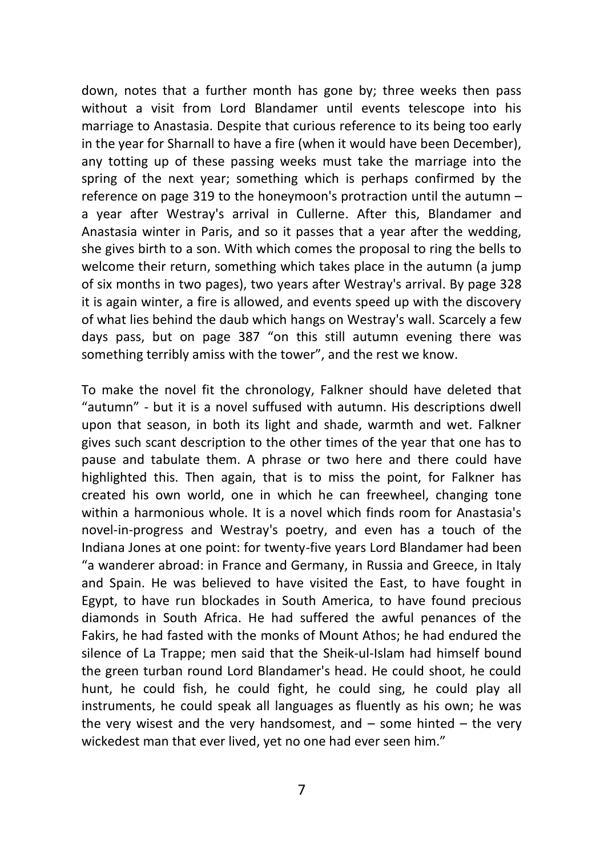down, notes that a further month has gone by; three weeks then pass without a visit from Lord Blandamer until events telescope into his marriage to Anastasia. Despite that curious reference to its being too early in the year for Sharnall to have a fire (when it would have been December), any totting up of these passing weeks must take the marriage into the spring of the next year; something which is perhaps confirmed by the reference on page 319 to the honeymoon's protraction until the autumn – a year after Westray's arrival in Cullerne. After this, Blandamer and Anastasia winter in Paris, and so it passes that a year after the wedding, she gives birth to a son. With which comes the proposal to ring the bells to welcome their return, something which takes place in the autumn (a jump of six months in two pages), two years after Westray's arrival. By page 328 it is again winter, a fire is allowed, and events speed up with the discovery of what lies behind the daub which hangs on Westray's wall. Scarcely a few days pass, but on page 387 "on this still autumn evening there was something terribly amiss with the tower", and the rest we know.

To make the novel fit the chronology, Falkner should have deleted that "autumn" - but it is a novel suffused with autumn. His descriptions dwell upon that season, in both its light and shade, warmth and wet. Falkner gives such scant description to the other times of the year that one has to pause and tabulate them. A phrase or two here and there could have highlighted this. Then again, that is to miss the point, for Falkner has created his own world, one in which he can freewheel, changing tone within a harmonious whole. It is a novel which finds room for Anastasia's novel-in-progress and Westray's poetry, and even has a touch of the Indiana Jones at one point: for twenty-five years Lord Blandamer had been "a wanderer abroad: in France and Germany, in Russia and Greece, in Italy and Spain. He was believed to have visited the East, to have fought in Egypt, to have run blockades in South America, to have found precious diamonds in South Africa. He had suffered the awful penances of the Fakirs, he had fasted with the monks of Mount Athos; he had endured the silence of La Trappe; men said that the Sheik-ul-Islam had himself bound the green turban round Lord Blandamer's head. He could shoot, he could hunt, he could fish, he could fight, he could sing, he could play all instruments, he could speak all languages as fluently as his own; he was the very wisest and the very handsomest, and  $-$  some hinted  $-$  the very wickedest man that ever lived, yet no one had ever seen him."